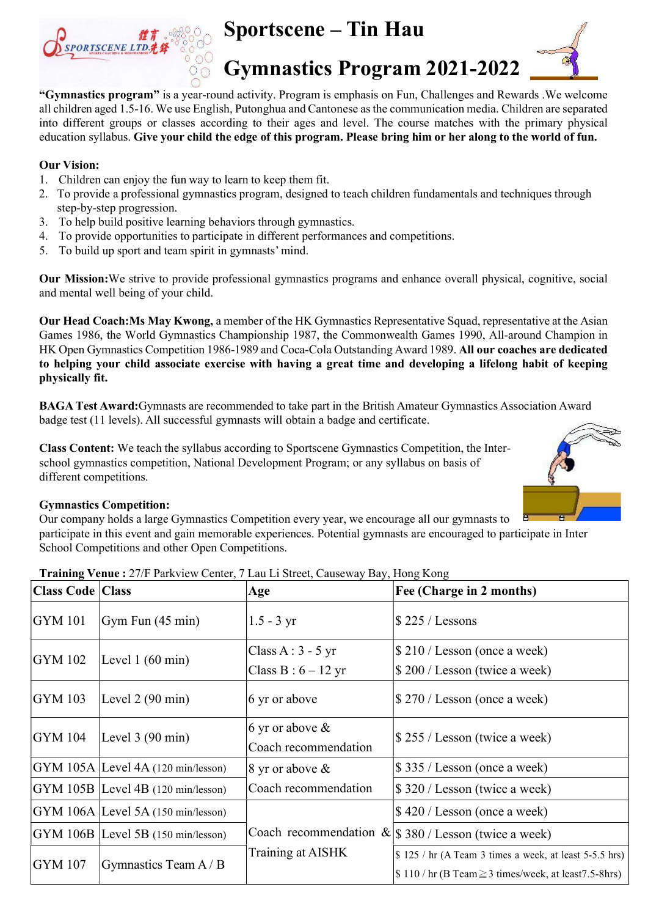

## Sportscene – Tin Hau



Gymnastics Program 2021-2022

"Gymnastics program" is a year-round activity. Program is emphasis on Fun, Challenges and Rewards .We welcome all children aged 1.5-16. We use English, Putonghua and Cantonese as the communication media. Children are separated into different groups or classes according to their ages and level. The course matches with the primary physical education syllabus. Give your child the edge of this program. Please bring him or her along to the world of fun.

### Our Vision:

- 1. Children can enjoy the fun way to learn to keep them fit.
- 2. To provide a professional gymnastics program, designed to teach children fundamentals and techniques through step-by-step progression.
- 3. To help build positive learning behaviors through gymnastics.
- 4. To provide opportunities to participate in different performances and competitions.
- 5. To build up sport and team spirit in gymnasts' mind.

Our Mission:We strive to provide professional gymnastics programs and enhance overall physical, cognitive, social and mental well being of your child.

Our Head Coach:Ms May Kwong, a member of the HK Gymnastics Representative Squad, representative at the Asian Games 1986, the World Gymnastics Championship 1987, the Commonwealth Games 1990, All-around Champion in HK Open Gymnastics Competition 1986-1989 and Coca-Cola Outstanding Award 1989. All our coaches are dedicated to helping your child associate exercise with having a great time and developing a lifelong habit of keeping physically fit.

BAGA Test Award:Gymnasts are recommended to take part in the British Amateur Gymnastics Association Award badge test (11 levels). All successful gymnasts will obtain a badge and certificate.

Class Content: We teach the syllabus according to Sportscene Gymnastics Competition, the Interschool gymnastics competition, National Development Program; or any syllabus on basis of different competitions.



### Gymnastics Competition:

Our company holds a large Gymnastics Competition every year, we encourage all our gymnasts to participate in this event and gain memorable experiences. Potential gymnasts are encouraged to participate in Inter School Competitions and other Open Competitions.

| <b>Class Code   Class</b> |                                              | Age                                        | Fee (Charge in 2 months)                                                                                                                  |  |  |
|---------------------------|----------------------------------------------|--------------------------------------------|-------------------------------------------------------------------------------------------------------------------------------------------|--|--|
| GYM 101                   | Gym Fun (45 min)                             | $1.5 - 3 yr$                               | $$225 /$ Lessons                                                                                                                          |  |  |
| GYM 102                   | Level $1(60 \text{ min})$                    | Class A : $3 - 5$ yr<br>Class $B: 6-12$ yr | $$210 /$ Lesson (once a week)<br>\$200 / Lesson (twice a week)                                                                            |  |  |
| $GYM$ 103                 | Level $2(90 \text{ min})$                    | $6 \,\mathrm{yr}$ or above                 | \$270 / Lesson (once a week)                                                                                                              |  |  |
| GYM 104                   | Level $3(90 \text{ min})$                    | 6 yr or above $\&$<br>Coach recommendation | $\frac{1}{2}$ 255 / Lesson (twice a week)                                                                                                 |  |  |
|                           | $ GYM 105A $ Level 4A (120 min/lesson)       | 8 yr or above $\&$                         | \$335 / Lesson (once a week)                                                                                                              |  |  |
|                           | $ GYM 105B $ Level 4B (120 min/lesson)       | Coach recommendation                       | \$320 / Lesson (twice a week)                                                                                                             |  |  |
|                           | $GYM$ 106A Level 5A (150 min/lesson)         |                                            | $$420 /$ Lesson (once a week)                                                                                                             |  |  |
|                           | $ GYM\>106B\> Level\>5B\> (150\>min/lesson)$ |                                            | Coach recommendation $\&$ \\$ 380 / Lesson (twice a week)                                                                                 |  |  |
| <b>GYM</b> 107            | Training at AISHK<br>Gymnastics Team A/B     |                                            | $\frac{1}{2}$ 125 / hr (A Team 3 times a week, at least 5-5.5 hrs)<br>$\frac{\sin(10)}{\ln(\text{B Team})}$ imes/week, at least 7.5-8hrs) |  |  |

Training Venue : 27/F Parkview Center, 7 Lau Li Street, Causeway Bay, Hong Kong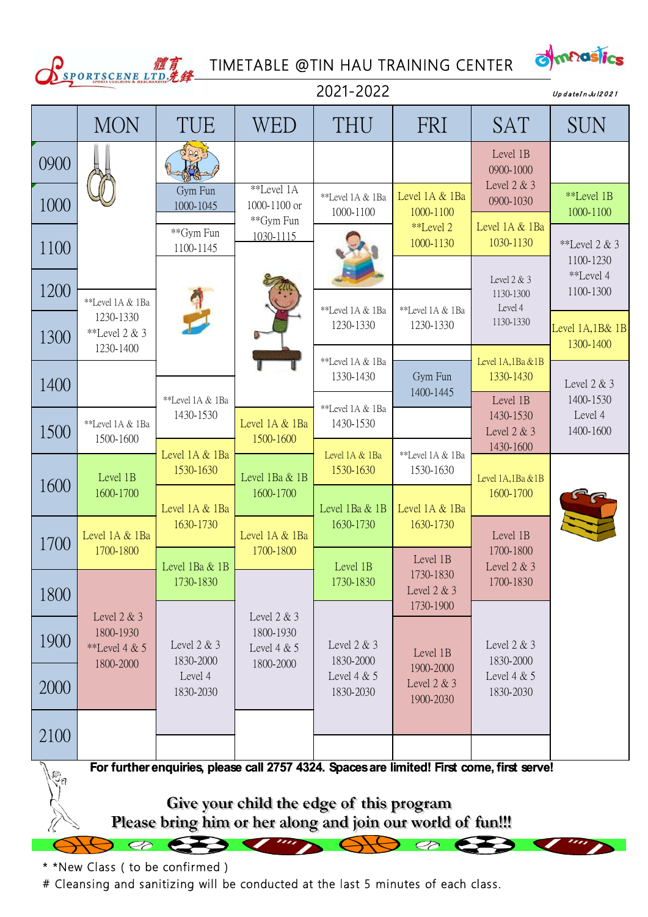



|                                                                                                        |                                                                                            |                               |                                             |                               | TIMETABLE @TIN HAU TRAINING CENTER    |                                        | dimnasics                         |  |  |  |
|--------------------------------------------------------------------------------------------------------|--------------------------------------------------------------------------------------------|-------------------------------|---------------------------------------------|-------------------------------|---------------------------------------|----------------------------------------|-----------------------------------|--|--|--|
| SPORTSCENE LTD.先经<br>2021-2022<br>UpdateInJul2021                                                      |                                                                                            |                               |                                             |                               |                                       |                                        |                                   |  |  |  |
|                                                                                                        | <b>MON</b>                                                                                 | TUE                           | WED                                         | THU                           | FRI                                   | <b>SAT</b>                             | <b>SUN</b>                        |  |  |  |
| 0900                                                                                                   |                                                                                            |                               |                                             |                               |                                       | Level 1B<br>0900-1000                  |                                   |  |  |  |
| 1000                                                                                                   |                                                                                            | Gym Fun<br>1000-1045          | **Level 1A<br>1000-1100 or                  | **Level 1A & 1Ba<br>1000-1100 | Level 1A & 1Ba<br>1000-1100           | Level $2 & 3$<br>0900-1030             | **Level 1B<br>1000-1100           |  |  |  |
| 1100                                                                                                   |                                                                                            | **Gym Fun<br>1100-1145        | **Gym Fun<br>1030-1115                      |                               | **Level 2<br>1000-1130                | Level 1A & 1Ba<br>1030-1130            | **Level $2 & 3$<br>1100-1230      |  |  |  |
| 1200                                                                                                   | **Level 1A & 1Ba                                                                           |                               |                                             |                               |                                       | Level $2 & 3$<br>1130-1300<br>Level 4  | **Level 4<br>1100-1300            |  |  |  |
| 1300                                                                                                   | 1230-1330<br>**Level 2 & 3<br>1230-1400                                                    |                               |                                             | **Level 1A & 1Ba<br>1230-1330 | **Level 1A & 1Ba<br>1230-1330         | 1130-1330                              | Level 1A,1B& 1B<br>1300-1400      |  |  |  |
| 1400                                                                                                   |                                                                                            |                               |                                             | **Level 1A & 1Ba<br>1330-1430 | Gym Fun<br>1400-1445                  | Level 1A,1Ba &1B<br>1330-1430          | Level $2 & 3$                     |  |  |  |
| 1500                                                                                                   | **Level 1A & 1Ba<br>1500-1600                                                              | **Level 1A & 1Ba<br>1430-1530 | Level 1A & 1Ba<br>1500-1600                 | **Level 1A & 1Ba<br>1430-1530 |                                       | Level 1B<br>1430-1530<br>Level 2 & 3   | 1400-1530<br>Level 4<br>1400-1600 |  |  |  |
| 1600                                                                                                   | Level 1B                                                                                   | Level 1A & 1Ba<br>1530-1630   | Level 1Ba & 1B                              | Level 1A & 1Ba<br>1530-1630   | **Level 1A & 1Ba<br>1530-1630         | 1430-1600<br>Level 1A,1Ba &1B          |                                   |  |  |  |
|                                                                                                        | 1600-1700                                                                                  | Level 1A & 1Ba<br>1630-1730   | 1600-1700                                   | Level 1Ba & 1B<br>1630-1730   | Level 1A & 1Ba<br>1630-1730           | 1600-1700                              |                                   |  |  |  |
| 1700                                                                                                   | Level 1A & 1Ba<br>1700-1800                                                                | Level 1Ba & 1B                | Level 1A & 1Ba<br>1700-1800                 | Level 1B                      | Level 1B                              | Level 1B<br>1700-1800<br>Level $2 & 3$ |                                   |  |  |  |
| 1800                                                                                                   |                                                                                            | 1730-1830                     |                                             | 1730-1830                     | 1730-1830<br>Level 2 & 3<br>1730-1900 | 1700-1830                              |                                   |  |  |  |
| 1900                                                                                                   | Level $2 & 3$<br>1800-1930<br>**Level 4 $& 5$                                              | Level $2 & 3$<br>1830-2000    | Level $2 & 3$<br>1800-1930<br>Level $4 & 5$ | Level $2 & 3$<br>1830-2000    | Level 1B                              | Level $2 & 3$<br>1830-2000             |                                   |  |  |  |
| 2000                                                                                                   | 1800-2000                                                                                  | Level 4<br>1830-2030          | 1800-2000                                   | Level $4 & 5$<br>1830-2030    | 1900-2000<br>Level 2 & 3<br>1900-2030 | Level $4 & 5$<br>1830-2030             |                                   |  |  |  |
| 2100                                                                                                   |                                                                                            |                               |                                             |                               |                                       |                                        |                                   |  |  |  |
| $\bigvee_{i=1}^{n} a_i$                                                                                | For further enquiries, please call 2757 4324. Spaces are limited! First come, first serve! |                               |                                             |                               |                                       |                                        |                                   |  |  |  |
| Give your child the edge of this program<br>Please bring him or her along and join our world of fun!!! |                                                                                            |                               |                                             |                               |                                       |                                        |                                   |  |  |  |
|                                                                                                        | $\infty$                                                                                   |                               |                                             |                               | <b>20 633</b>                         |                                        |                                   |  |  |  |

\* \*New Class ( to be confirmed )

# Cleansing and sanitizing will be conducted at the last 5 minutes of each class.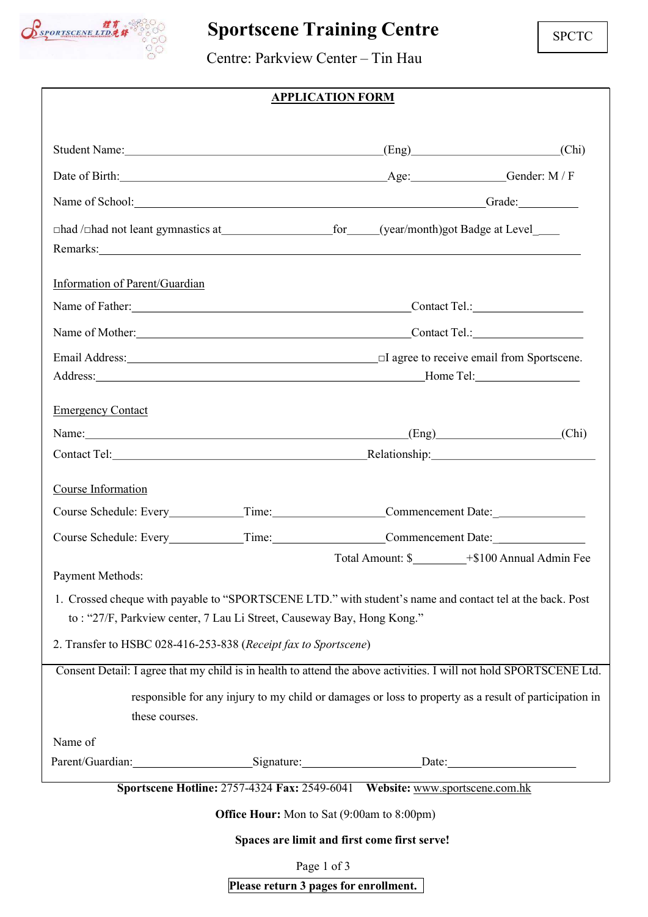

# Sportscene Training Centre

Centre: Parkview Center – Tin Hau

## APPLICATION FORM

|                                                                                                                                                                                                                                |                                                                             |             |                                              | $(Eng)$ (Eng) (Chi)                                                                                   |  |  |  |  |
|--------------------------------------------------------------------------------------------------------------------------------------------------------------------------------------------------------------------------------|-----------------------------------------------------------------------------|-------------|----------------------------------------------|-------------------------------------------------------------------------------------------------------|--|--|--|--|
| Date of Birth: Gender: M/F                                                                                                                                                                                                     |                                                                             |             |                                              |                                                                                                       |  |  |  |  |
| Name of School: Grade: Grade: Grade: Grade: Grade: Grade: Grade: Grade: Grade: Grade: Grade: Grade: Grade: Grade: Grade: Grade: Grade: Grade: Grade: Grade: Grade: Grade: Grade: Grade: Grade: Grade: Grade: Grade: Grade: Gra |                                                                             |             |                                              |                                                                                                       |  |  |  |  |
|                                                                                                                                                                                                                                |                                                                             |             |                                              |                                                                                                       |  |  |  |  |
| Remarks: New York Contract the Contract of the Contract of the Contract of the Contract of the Contract of the Contract of the Contract of the Contract of the Contract of the Contract of the Contract of the Contract of the |                                                                             |             |                                              |                                                                                                       |  |  |  |  |
| Information of Parent/Guardian                                                                                                                                                                                                 |                                                                             |             |                                              |                                                                                                       |  |  |  |  |
|                                                                                                                                                                                                                                |                                                                             |             | Name of Father: Contact Tel.: Contact Tel.:  |                                                                                                       |  |  |  |  |
|                                                                                                                                                                                                                                |                                                                             |             |                                              |                                                                                                       |  |  |  |  |
|                                                                                                                                                                                                                                |                                                                             |             |                                              |                                                                                                       |  |  |  |  |
|                                                                                                                                                                                                                                |                                                                             |             |                                              |                                                                                                       |  |  |  |  |
| <b>Emergency Contact</b>                                                                                                                                                                                                       |                                                                             |             |                                              |                                                                                                       |  |  |  |  |
| Name: (Chi) (Chi)                                                                                                                                                                                                              |                                                                             |             |                                              |                                                                                                       |  |  |  |  |
|                                                                                                                                                                                                                                |                                                                             |             |                                              |                                                                                                       |  |  |  |  |
| Course Information                                                                                                                                                                                                             |                                                                             |             |                                              |                                                                                                       |  |  |  |  |
| Course Schedule: Every____________Time:____________________Commencement Date: _____________________                                                                                                                            |                                                                             |             |                                              |                                                                                                       |  |  |  |  |
| Course Schedule: Every____________Time:____________________Commencement Date:_______________________                                                                                                                           |                                                                             |             |                                              |                                                                                                       |  |  |  |  |
|                                                                                                                                                                                                                                |                                                                             |             |                                              |                                                                                                       |  |  |  |  |
| Payment Methods:                                                                                                                                                                                                               |                                                                             |             |                                              |                                                                                                       |  |  |  |  |
| 1. Crossed cheque with payable to "SPORTSCENE LTD." with student's name and contact tel at the back. Post                                                                                                                      |                                                                             |             |                                              |                                                                                                       |  |  |  |  |
| to: "27/F, Parkview center, 7 Lau Li Street, Causeway Bay, Hong Kong."                                                                                                                                                         |                                                                             |             |                                              |                                                                                                       |  |  |  |  |
| 2. Transfer to HSBC 028-416-253-838 (Receipt fax to Sportscene)                                                                                                                                                                |                                                                             |             |                                              |                                                                                                       |  |  |  |  |
| Consent Detail: I agree that my child is in health to attend the above activities. I will not hold SPORTSCENE Ltd.                                                                                                             |                                                                             |             |                                              |                                                                                                       |  |  |  |  |
| these courses.                                                                                                                                                                                                                 |                                                                             |             |                                              | responsible for any injury to my child or damages or loss to property as a result of participation in |  |  |  |  |
| Name of                                                                                                                                                                                                                        |                                                                             |             |                                              |                                                                                                       |  |  |  |  |
| Parent/Guardian:__________________________Signature:______________________Date:_______________________________                                                                                                                 |                                                                             |             |                                              |                                                                                                       |  |  |  |  |
|                                                                                                                                                                                                                                | Sportscene Hotline: 2757-4324 Fax: 2549-6041 Website: www.sportscene.com.hk |             |                                              |                                                                                                       |  |  |  |  |
|                                                                                                                                                                                                                                | <b>Office Hour:</b> Mon to Sat (9:00am to 8:00pm)                           |             |                                              |                                                                                                       |  |  |  |  |
|                                                                                                                                                                                                                                |                                                                             |             | Spaces are limit and first come first serve! |                                                                                                       |  |  |  |  |
|                                                                                                                                                                                                                                |                                                                             | Page 1 of 3 |                                              |                                                                                                       |  |  |  |  |

Please return 3 pages for enrollment.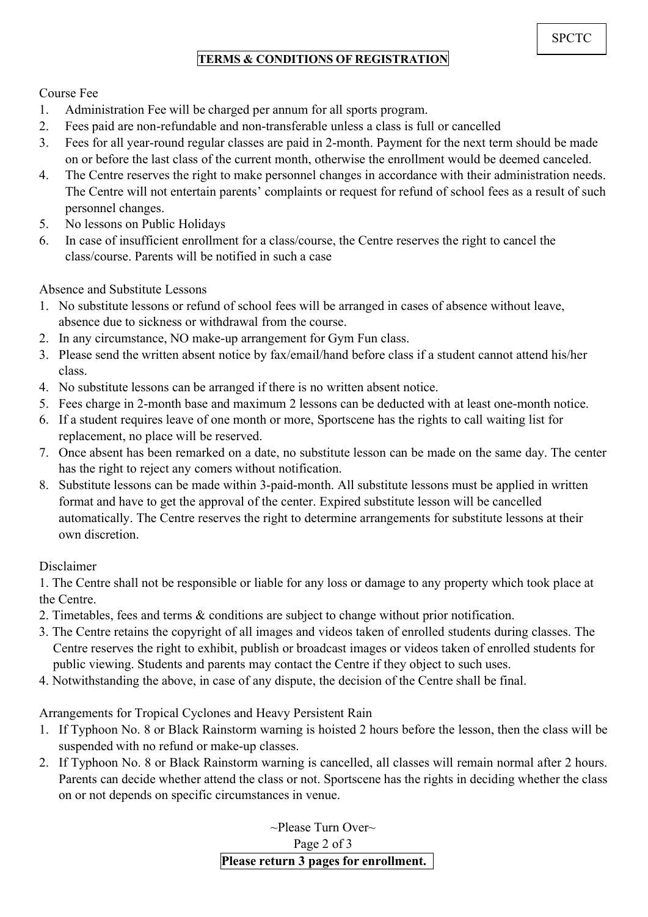## TERMS & CONDITIONS OF REGISTRATION

Course Fee

- 1. Administration Fee will be charged per annum for all sports program.
- 2. Fees paid are non-refundable and non-transferable unless a class is full or cancelled
- 3. Fees for all year-round regular classes are paid in 2-month. Payment for the next term should be made on or before the last class of the current month, otherwise the enrollment would be deemed canceled.
- 4. The Centre reserves the right to make personnel changes in accordance with their administration needs. The Centre will not entertain parents' complaints or request for refund of school fees as a result of such personnel changes.
- 5. No lessons on Public Holidays
- 6. In case of insufficient enrollment for a class/course, the Centre reserves the right to cancel the class/course. Parents will be notified in such a case

Absence and Substitute Lessons

- 1. No substitute lessons or refund of school fees will be arranged in cases of absence without leave, absence due to sickness or withdrawal from the course.
- 2. In any circumstance, NO make-up arrangement for Gym Fun class.
- 3. Please send the written absent notice by fax/email/hand before class if a student cannot attend his/her class.
- 4. No substitute lessons can be arranged if there is no written absent notice.
- 5. Fees charge in 2-month base and maximum 2 lessons can be deducted with at least one-month notice.
- 6. If a student requires leave of one month or more, Sportscene has the rights to call waiting list for replacement, no place will be reserved.
- 7. Once absent has been remarked on a date, no substitute lesson can be made on the same day. The center has the right to reject any comers without notification.
- 8. Substitute lessons can be made within 3-paid-month. All substitute lessons must be applied in written format and have to get the approval of the center. Expired substitute lesson will be cancelled automatically. The Centre reserves the right to determine arrangements for substitute lessons at their own discretion.

Disclaimer

1. The Centre shall not be responsible or liable for any loss or damage to any property which took place at the Centre.

- 2. Timetables, fees and terms & conditions are subject to change without prior notification.
- 3. The Centre retains the copyright of all images and videos taken of enrolled students during classes. The Centre reserves the right to exhibit, publish or broadcast images or videos taken of enrolled students for public viewing. Students and parents may contact the Centre if they object to such uses.
- 4. Notwithstanding the above, in case of any dispute, the decision of the Centre shall be final.

Arrangements for Tropical Cyclones and Heavy Persistent Rain

- 1. If Typhoon No. 8 or Black Rainstorm warning is hoisted 2 hours before the lesson, then the class will be suspended with no refund or make-up classes.
- 2. If Typhoon No. 8 or Black Rainstorm warning is cancelled, all classes will remain normal after 2 hours. Parents can decide whether attend the class or not. Sportscene has the rights in deciding whether the class on or not depends on specific circumstances in venue.

 $\sim$ Please Turn Over $\sim$ Page 2 of 3 Please return 3 pages for enrollment.